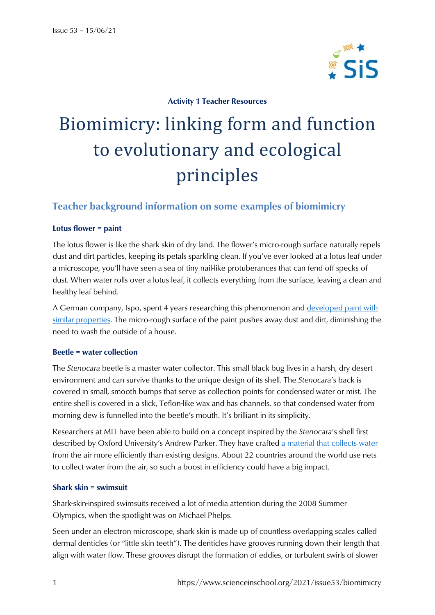

### **Activity 1 Teacher Resources**

# Biomimicry: linking form and function to evolutionary and ecological principles

# **Teacher background information on some examples of biomimicry**

#### **Lotus flower = paint**

The lotus flower is like the shark skin of dry land. The flower's micro-rough surface naturally repels dust and dirt particles, keeping its petals sparkling clean. If you've ever looked at a lotus leaf under a microscope, you'll have seen a sea of tiny nail-like protuberances that can fend off specks of dust. When water rolls over a lotus leaf, it collects everything from the surface, leaving a clean and healthy leaf behind.

A German company, Ispo, spent 4 years researching this phenomenon and [developed paint with](https://www.sto.com/biomimetics/en/biomimetics/lotusan/interview_63.html)  [similar properties.](https://www.sto.com/biomimetics/en/biomimetics/lotusan/interview_63.html) The micro-rough surface of the paint pushes away dust and dirt, diminishing the need to wash the outside of a house.

#### **Beetle = water collection**

The *Stenocara* beetle is a master water collector. This small black bug lives in a harsh, dry desert environment and can survive thanks to the unique design of its shell. The *Stenocara*'s back is covered in small, smooth bumps that serve as collection points for condensed water or mist. The entire shell is covered in a slick, Teflon-like wax and has channels, so that condensed water from morning dew is funnelled into the beetle's mouth. It's brilliant in its simplicity.

Researchers at MIT have been able to build on a concept inspired by the *Stenocara*'s shell first described by Oxford University's Andrew Parker. They have crafted [a material that collects water](https://news.mit.edu/2011/fog-harvesting-0421) from the air more efficiently than existing designs. About 22 countries around the world use nets to collect water from the air, so such a boost in efficiency could have a big impact.

#### **Shark skin = swimsuit**

Shark-skin-inspired swimsuits received a lot of media attention during the 2008 Summer Olympics, when the spotlight was on Michael Phelps.

Seen under an electron microscope, shark skin is made up of countless overlapping scales called dermal denticles (or "little skin teeth"). The denticles have grooves running down their length that align with water flow. These grooves disrupt the formation of eddies, or turbulent swirls of slower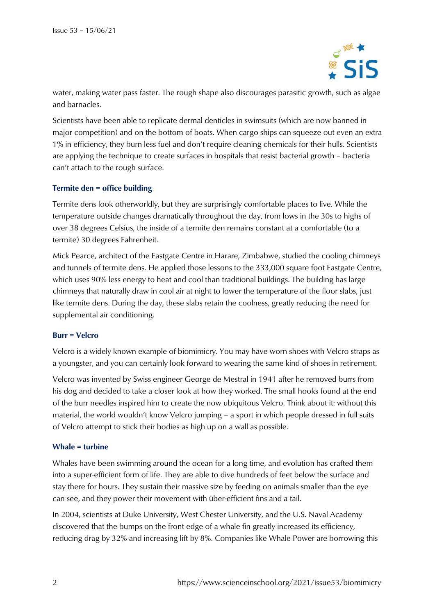

water, making water pass faster. The rough shape also discourages parasitic growth, such as algae and barnacles.

Scientists have been able to replicate dermal denticles in swimsuits (which are now banned in major competition) and on the bottom of boats. When cargo ships can squeeze out even an extra 1% in efficiency, they burn less fuel and don't require cleaning chemicals for their hulls. Scientists are applying the technique to create surfaces in hospitals that resist bacterial growth – bacteria can't attach to the rough surface.

#### **Termite den = office building**

Termite dens look otherworldly, but they are surprisingly comfortable places to live. While the temperature outside changes dramatically throughout the day, from lows in the 30s to highs of over 38 degrees Celsius, the inside of a termite den remains constant at a comfortable (to a termite) 30 degrees Fahrenheit.

Mick Pearce, architect of the Eastgate Centre in Harare, Zimbabwe, studied the cooling chimneys and tunnels of termite dens. He applied those lessons to the 333,000 square foot Eastgate Centre, which uses 90% less energy to heat and cool than traditional buildings. The building has large chimneys that naturally draw in cool air at night to lower the temperature of the floor slabs, just like termite dens. During the day, these slabs retain the coolness, greatly reducing the need for supplemental air conditioning.

#### **Burr = Velcro**

Velcro is a widely known example of biomimicry. You may have worn shoes with Velcro straps as a youngster, and you can certainly look forward to wearing the same kind of shoes in retirement.

Velcro was invented by Swiss engineer George de Mestral in 1941 after he removed burrs from his dog and decided to take a closer look at how they worked. The small hooks found at the end of the burr needles inspired him to create the now ubiquitous Velcro. Think about it: without this material, the world wouldn't know Velcro jumping – a sport in which people dressed in full suits of Velcro attempt to stick their bodies as high up on a wall as possible.

#### **Whale = turbine**

Whales have been swimming around the ocean for a long time, and evolution has crafted them into a super-efficient form of life. They are able to dive hundreds of feet below the surface and stay there for hours. They sustain their massive size by feeding on animals smaller than the eye can see, and they power their movement with über-efficient fins and a tail.

In 2004, scientists at Duke University, West Chester University, and the U.S. Naval Academy discovered that the bumps on the front edge of a whale fin greatly increased its efficiency, reducing drag by 32% and increasing lift by 8%. Companies like Whale Power are borrowing this